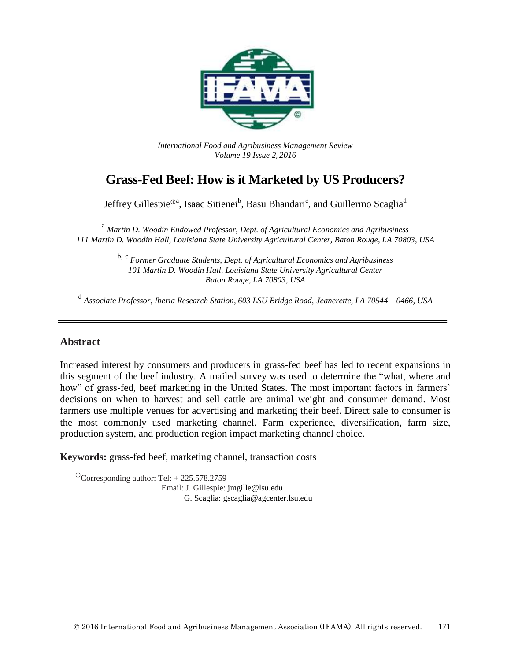

*International Food and Agribusiness Management Review Volume 19 Issue 2*, *2016*

# **Grass-Fed Beef: How is it Marketed by US Producers?**

Jeffrey Gillespie<sup>®a</sup>, Isaac Sitienei<sup>b</sup>, Basu Bhandari<sup>c</sup>, and Guillermo Scaglia<sup>d</sup>

<sup>a</sup> *Martin D. Woodin Endowed Professor, Dept. of Agricultural Economics and Agribusiness 111 Martin D. Woodin Hall, Louisiana State University Agricultural Center, Baton Rouge, LA 70803, USA*

> b, c *Former Graduate Students, Dept. of Agricultural Economics and Agribusiness 101 Martin D. Woodin Hall, Louisiana State University Agricultural Center Baton Rouge, LA 70803, USA*

d *Associate Professor, Iberia Research Station, 603 LSU Bridge Road, Jeanerette, LA 70544 – 0466, USA*

### **Abstract**

Increased interest by consumers and producers in grass-fed beef has led to recent expansions in this segment of the beef industry. A mailed survey was used to determine the "what, where and how" of grass-fed, beef marketing in the United States. The most important factors in farmers' decisions on when to harvest and sell cattle are animal weight and consumer demand. Most farmers use multiple venues for advertising and marketing their beef. Direct sale to consumer is the most commonly used marketing channel. Farm experience, diversification, farm size, production system, and production region impact marketing channel choice.

**Keywords:** grass-fed beef, marketing channel, transaction costs

 $^{\circ}$ Corresponding author: Tel: + 225.578.2759 Email: J. Gillespie: jmgille@lsu.edu G. Scaglia: gscaglia@agcenter.lsu.edu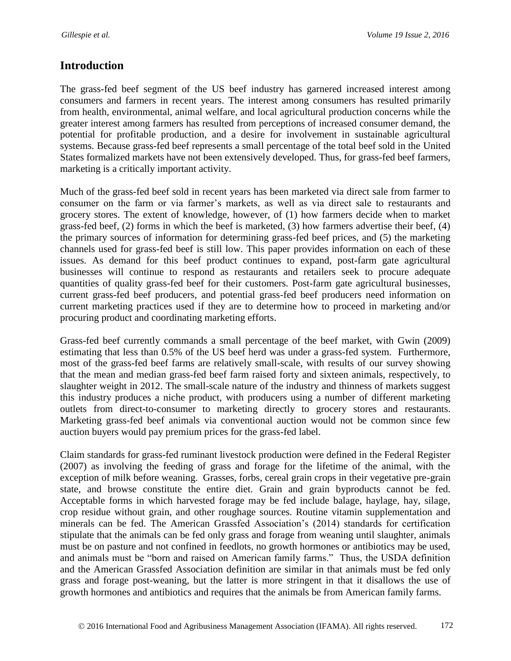## **Introduction**

The grass-fed beef segment of the US beef industry has garnered increased interest among consumers and farmers in recent years. The interest among consumers has resulted primarily from health, environmental, animal welfare, and local agricultural production concerns while the greater interest among farmers has resulted from perceptions of increased consumer demand, the potential for profitable production, and a desire for involvement in sustainable agricultural systems. Because grass-fed beef represents a small percentage of the total beef sold in the United States formalized markets have not been extensively developed. Thus, for grass-fed beef farmers, marketing is a critically important activity.

Much of the grass-fed beef sold in recent years has been marketed via direct sale from farmer to consumer on the farm or via farmer's markets, as well as via direct sale to restaurants and grocery stores. The extent of knowledge, however, of (1) how farmers decide when to market grass-fed beef, (2) forms in which the beef is marketed, (3) how farmers advertise their beef, (4) the primary sources of information for determining grass-fed beef prices, and (5) the marketing channels used for grass-fed beef is still low. This paper provides information on each of these issues. As demand for this beef product continues to expand, post-farm gate agricultural businesses will continue to respond as restaurants and retailers seek to procure adequate quantities of quality grass-fed beef for their customers. Post-farm gate agricultural businesses, current grass-fed beef producers, and potential grass-fed beef producers need information on current marketing practices used if they are to determine how to proceed in marketing and/or procuring product and coordinating marketing efforts.

Grass-fed beef currently commands a small percentage of the beef market, with Gwin (2009) estimating that less than 0.5% of the US beef herd was under a grass-fed system. Furthermore, most of the grass-fed beef farms are relatively small-scale, with results of our survey showing that the mean and median grass-fed beef farm raised forty and sixteen animals, respectively, to slaughter weight in 2012. The small-scale nature of the industry and thinness of markets suggest this industry produces a niche product, with producers using a number of different marketing outlets from direct-to-consumer to marketing directly to grocery stores and restaurants. Marketing grass-fed beef animals via conventional auction would not be common since few auction buyers would pay premium prices for the grass-fed label.

Claim standards for grass-fed ruminant livestock production were defined in the Federal Register (2007) as involving the feeding of grass and forage for the lifetime of the animal, with the exception of milk before weaning. Grasses, forbs, cereal grain crops in their vegetative pre-grain state, and browse constitute the entire diet. Grain and grain byproducts cannot be fed. Acceptable forms in which harvested forage may be fed include balage, haylage, hay, silage, crop residue without grain, and other roughage sources. Routine vitamin supplementation and minerals can be fed. The American Grassfed Association's (2014) standards for certification stipulate that the animals can be fed only grass and forage from weaning until slaughter, animals must be on pasture and not confined in feedlots, no growth hormones or antibiotics may be used, and animals must be "born and raised on American family farms." Thus, the USDA definition and the American Grassfed Association definition are similar in that animals must be fed only grass and forage post-weaning, but the latter is more stringent in that it disallows the use of growth hormones and antibiotics and requires that the animals be from American family farms.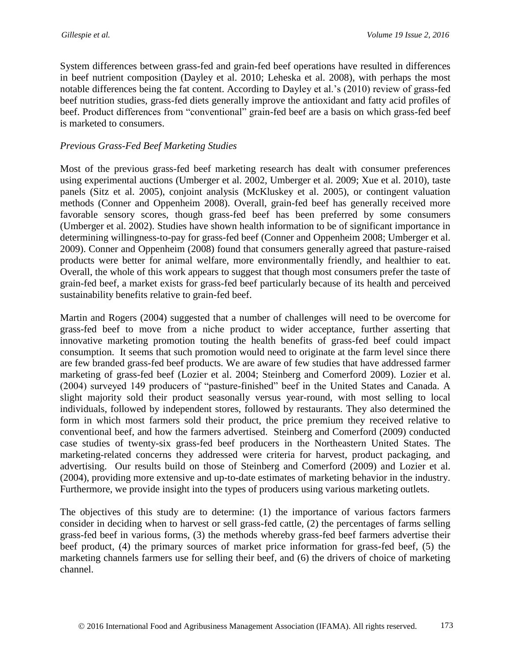System differences between grass-fed and grain-fed beef operations have resulted in differences in beef nutrient composition (Dayley et al. 2010; Leheska et al. 2008), with perhaps the most notable differences being the fat content. According to Dayley et al.'s (2010) review of grass-fed beef nutrition studies, grass-fed diets generally improve the antioxidant and fatty acid profiles of beef. Product differences from "conventional" grain-fed beef are a basis on which grass-fed beef is marketed to consumers.

### *Previous Grass-Fed Beef Marketing Studies*

Most of the previous grass-fed beef marketing research has dealt with consumer preferences using experimental auctions (Umberger et al. 2002, Umberger et al. 2009; Xue et al. 2010), taste panels (Sitz et al. 2005), conjoint analysis (McKluskey et al. 2005), or contingent valuation methods (Conner and Oppenheim 2008). Overall, grain-fed beef has generally received more favorable sensory scores, though grass-fed beef has been preferred by some consumers (Umberger et al. 2002). Studies have shown health information to be of significant importance in determining willingness-to-pay for grass-fed beef (Conner and Oppenheim 2008; Umberger et al. 2009). Conner and Oppenheim (2008) found that consumers generally agreed that pasture-raised products were better for animal welfare, more environmentally friendly, and healthier to eat. Overall, the whole of this work appears to suggest that though most consumers prefer the taste of grain-fed beef, a market exists for grass-fed beef particularly because of its health and perceived sustainability benefits relative to grain-fed beef.

Martin and Rogers (2004) suggested that a number of challenges will need to be overcome for grass-fed beef to move from a niche product to wider acceptance, further asserting that innovative marketing promotion touting the health benefits of grass-fed beef could impact consumption. It seems that such promotion would need to originate at the farm level since there are few branded grass-fed beef products. We are aware of few studies that have addressed farmer marketing of grass-fed beef (Lozier et al. 2004; Steinberg and Comerford 2009). Lozier et al. (2004) surveyed 149 producers of "pasture-finished" beef in the United States and Canada. A slight majority sold their product seasonally versus year-round, with most selling to local individuals, followed by independent stores, followed by restaurants. They also determined the form in which most farmers sold their product, the price premium they received relative to conventional beef, and how the farmers advertised. Steinberg and Comerford (2009) conducted case studies of twenty-six grass-fed beef producers in the Northeastern United States. The marketing-related concerns they addressed were criteria for harvest, product packaging, and advertising. Our results build on those of Steinberg and Comerford (2009) and Lozier et al. (2004), providing more extensive and up-to-date estimates of marketing behavior in the industry. Furthermore, we provide insight into the types of producers using various marketing outlets.

The objectives of this study are to determine: (1) the importance of various factors farmers consider in deciding when to harvest or sell grass-fed cattle, (2) the percentages of farms selling grass-fed beef in various forms, (3) the methods whereby grass-fed beef farmers advertise their beef product, (4) the primary sources of market price information for grass-fed beef, (5) the marketing channels farmers use for selling their beef, and (6) the drivers of choice of marketing channel.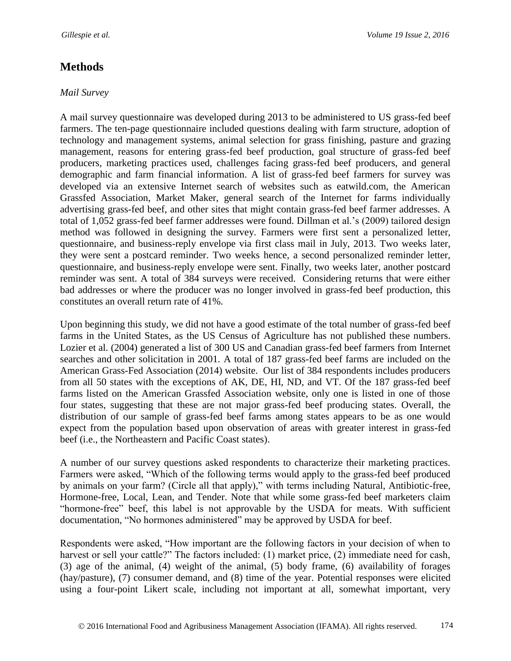## **Methods**

### *Mail Survey*

A mail survey questionnaire was developed during 2013 to be administered to US grass-fed beef farmers. The ten-page questionnaire included questions dealing with farm structure, adoption of technology and management systems, animal selection for grass finishing, pasture and grazing management, reasons for entering grass-fed beef production, goal structure of grass-fed beef producers, marketing practices used, challenges facing grass-fed beef producers, and general demographic and farm financial information. A list of grass-fed beef farmers for survey was developed via an extensive Internet search of websites such as eatwild.com, the American Grassfed Association, Market Maker, general search of the Internet for farms individually advertising grass-fed beef, and other sites that might contain grass-fed beef farmer addresses. A total of 1,052 grass-fed beef farmer addresses were found. Dillman et al.'s (2009) tailored design method was followed in designing the survey. Farmers were first sent a personalized letter, questionnaire, and business-reply envelope via first class mail in July, 2013. Two weeks later, they were sent a postcard reminder. Two weeks hence, a second personalized reminder letter, questionnaire, and business-reply envelope were sent. Finally, two weeks later, another postcard reminder was sent. A total of 384 surveys were received. Considering returns that were either bad addresses or where the producer was no longer involved in grass-fed beef production, this constitutes an overall return rate of 41%.

Upon beginning this study, we did not have a good estimate of the total number of grass-fed beef farms in the United States, as the US Census of Agriculture has not published these numbers. Lozier et al. (2004) generated a list of 300 US and Canadian grass-fed beef farmers from Internet searches and other solicitation in 2001. A total of 187 grass-fed beef farms are included on the American Grass-Fed Association (2014) website. Our list of 384 respondents includes producers from all 50 states with the exceptions of AK, DE, HI, ND, and VT. Of the 187 grass-fed beef farms listed on the American Grassfed Association website, only one is listed in one of those four states, suggesting that these are not major grass-fed beef producing states. Overall, the distribution of our sample of grass-fed beef farms among states appears to be as one would expect from the population based upon observation of areas with greater interest in grass-fed beef (i.e., the Northeastern and Pacific Coast states).

A number of our survey questions asked respondents to characterize their marketing practices. Farmers were asked, "Which of the following terms would apply to the grass-fed beef produced by animals on your farm? (Circle all that apply)," with terms including Natural, Antibiotic-free, Hormone-free, Local, Lean, and Tender. Note that while some grass-fed beef marketers claim "hormone-free" beef, this label is not approvable by the USDA for meats. With sufficient documentation, "No hormones administered" may be approved by USDA for beef.

Respondents were asked, "How important are the following factors in your decision of when to harvest or sell your cattle?" The factors included: (1) market price, (2) immediate need for cash, (3) age of the animal, (4) weight of the animal, (5) body frame, (6) availability of forages (hay/pasture), (7) consumer demand, and (8) time of the year. Potential responses were elicited using a four-point Likert scale, including not important at all, somewhat important, very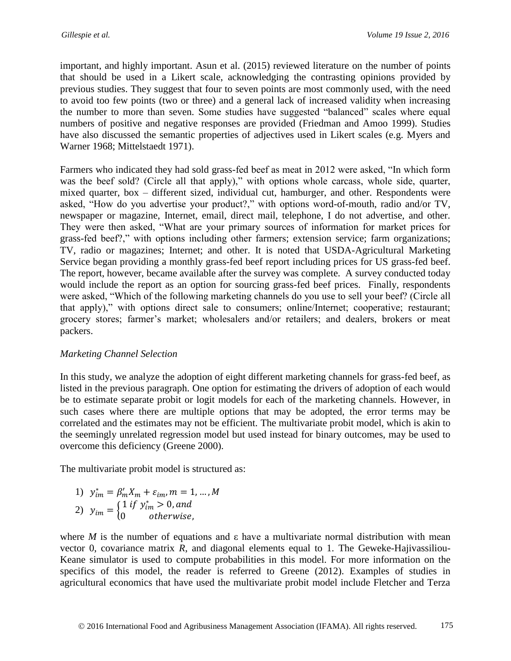important, and highly important. Asun et al. (2015) reviewed literature on the number of points that should be used in a Likert scale, acknowledging the contrasting opinions provided by previous studies. They suggest that four to seven points are most commonly used, with the need to avoid too few points (two or three) and a general lack of increased validity when increasing the number to more than seven. Some studies have suggested "balanced" scales where equal numbers of positive and negative responses are provided (Friedman and Amoo 1999). Studies have also discussed the semantic properties of adjectives used in Likert scales (e.g. Myers and Warner 1968; Mittelstaedt 1971).

Farmers who indicated they had sold grass-fed beef as meat in 2012 were asked, "In which form was the beef sold? (Circle all that apply)," with options whole carcass, whole side, quarter, mixed quarter, box – different sized, individual cut, hamburger, and other. Respondents were asked, "How do you advertise your product?," with options word-of-mouth, radio and/or TV, newspaper or magazine, Internet, email, direct mail, telephone, I do not advertise, and other. They were then asked, "What are your primary sources of information for market prices for grass-fed beef?," with options including other farmers; extension service; farm organizations; TV, radio or magazines; Internet; and other. It is noted that USDA-Agricultural Marketing Service began providing a monthly grass-fed beef report including prices for US grass-fed beef. The report, however, became available after the survey was complete. A survey conducted today would include the report as an option for sourcing grass-fed beef prices. Finally, respondents were asked, "Which of the following marketing channels do you use to sell your beef? (Circle all that apply)," with options direct sale to consumers; online/Internet; cooperative; restaurant; grocery stores; farmer's market; wholesalers and/or retailers; and dealers, brokers or meat packers.

### *Marketing Channel Selection*

In this study, we analyze the adoption of eight different marketing channels for grass-fed beef, as listed in the previous paragraph. One option for estimating the drivers of adoption of each would be to estimate separate probit or logit models for each of the marketing channels. However, in such cases where there are multiple options that may be adopted, the error terms may be correlated and the estimates may not be efficient. The multivariate probit model, which is akin to the seemingly unrelated regression model but used instead for binary outcomes, may be used to overcome this deficiency (Greene 2000).

The multivariate probit model is structured as:

1) 
$$
y_{im}^* = \beta_m' X_m + \varepsilon_{im}, m = 1, ..., M
$$
  
2) 
$$
y_{im} = \begin{cases} 1 \text{ if } y_{im}^* > 0, \text{ and} \\ 0 \text{ otherwise,} \end{cases}
$$

where *M* is the number of equations and  $\varepsilon$  have a multivariate normal distribution with mean vector 0, covariance matrix *R*, and diagonal elements equal to 1. The Geweke-Hajivassiliou-Keane simulator is used to compute probabilities in this model. For more information on the specifics of this model, the reader is referred to Greene (2012). Examples of studies in agricultural economics that have used the multivariate probit model include Fletcher and Terza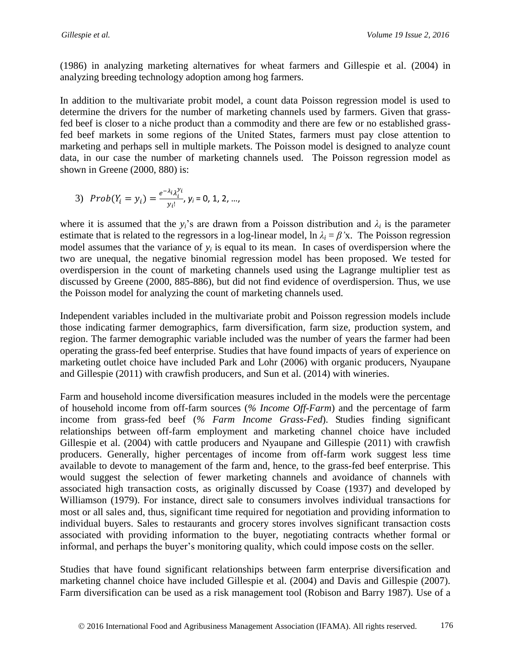(1986) in analyzing marketing alternatives for wheat farmers and Gillespie et al. (2004) in analyzing breeding technology adoption among hog farmers.

In addition to the multivariate probit model, a count data Poisson regression model is used to determine the drivers for the number of marketing channels used by farmers. Given that grassfed beef is closer to a niche product than a commodity and there are few or no established grassfed beef markets in some regions of the United States, farmers must pay close attention to marketing and perhaps sell in multiple markets. The Poisson model is designed to analyze count data, in our case the number of marketing channels used. The Poisson regression model as shown in Greene (2000, 880) is:

3) 
$$
Prob(Y_i = y_i) = \frac{e^{-\lambda_i} \lambda_i^{y_i}}{y_i!}, y_i = 0, 1, 2, ...,
$$

where it is assumed that the  $y_i$ 's are drawn from a Poisson distribution and  $\lambda_i$  is the parameter estimate that is related to the regressors in a log-linear model,  $\ln \lambda_i = \beta'x$ . The Poisson regression model assumes that the variance of  $y_i$  is equal to its mean. In cases of overdispersion where the two are unequal, the negative binomial regression model has been proposed. We tested for overdispersion in the count of marketing channels used using the Lagrange multiplier test as discussed by Greene (2000, 885-886), but did not find evidence of overdispersion. Thus, we use the Poisson model for analyzing the count of marketing channels used.

Independent variables included in the multivariate probit and Poisson regression models include those indicating farmer demographics, farm diversification, farm size, production system, and region. The farmer demographic variable included was the number of years the farmer had been operating the grass-fed beef enterprise. Studies that have found impacts of years of experience on marketing outlet choice have included Park and Lohr (2006) with organic producers, Nyaupane and Gillespie (2011) with crawfish producers, and Sun et al. (2014) with wineries.

Farm and household income diversification measures included in the models were the percentage of household income from off-farm sources (*% Income Off-Farm*) and the percentage of farm income from grass-fed beef (*% Farm Income Grass-Fed*). Studies finding significant relationships between off-farm employment and marketing channel choice have included Gillespie et al. (2004) with cattle producers and Nyaupane and Gillespie (2011) with crawfish producers. Generally, higher percentages of income from off-farm work suggest less time available to devote to management of the farm and, hence, to the grass-fed beef enterprise. This would suggest the selection of fewer marketing channels and avoidance of channels with associated high transaction costs, as originally discussed by Coase (1937) and developed by Williamson (1979). For instance, direct sale to consumers involves individual transactions for most or all sales and, thus, significant time required for negotiation and providing information to individual buyers. Sales to restaurants and grocery stores involves significant transaction costs associated with providing information to the buyer, negotiating contracts whether formal or informal, and perhaps the buyer's monitoring quality, which could impose costs on the seller.

Studies that have found significant relationships between farm enterprise diversification and marketing channel choice have included Gillespie et al. (2004) and Davis and Gillespie (2007). Farm diversification can be used as a risk management tool (Robison and Barry 1987). Use of a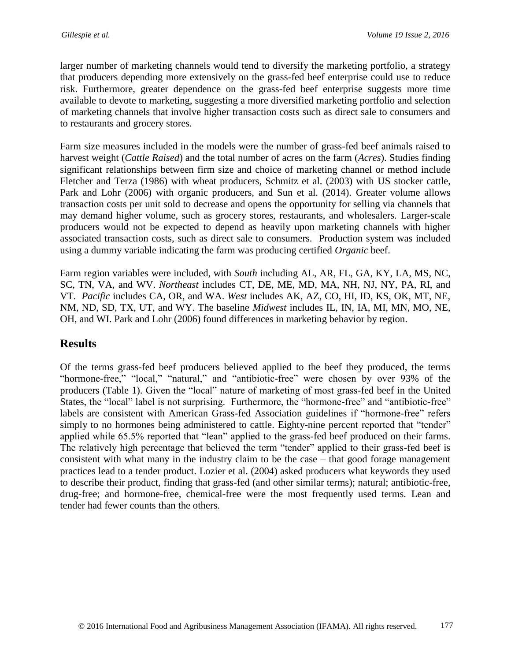larger number of marketing channels would tend to diversify the marketing portfolio, a strategy that producers depending more extensively on the grass-fed beef enterprise could use to reduce risk. Furthermore, greater dependence on the grass-fed beef enterprise suggests more time available to devote to marketing, suggesting a more diversified marketing portfolio and selection of marketing channels that involve higher transaction costs such as direct sale to consumers and to restaurants and grocery stores.

Farm size measures included in the models were the number of grass-fed beef animals raised to harvest weight (*Cattle Raised*) and the total number of acres on the farm (*Acres*). Studies finding significant relationships between firm size and choice of marketing channel or method include Fletcher and Terza (1986) with wheat producers, Schmitz et al. (2003) with US stocker cattle, Park and Lohr (2006) with organic producers, and Sun et al. (2014). Greater volume allows transaction costs per unit sold to decrease and opens the opportunity for selling via channels that may demand higher volume, such as grocery stores, restaurants, and wholesalers. Larger-scale producers would not be expected to depend as heavily upon marketing channels with higher associated transaction costs, such as direct sale to consumers. Production system was included using a dummy variable indicating the farm was producing certified *Organic* beef.

Farm region variables were included, with *South* including AL, AR, FL, GA, KY, LA, MS, NC, SC, TN, VA, and WV. *Northeast* includes CT, DE, ME, MD, MA, NH, NJ, NY, PA, RI, and VT. *Pacific* includes CA, OR, and WA. *West* includes AK, AZ, CO, HI, ID, KS, OK, MT, NE, NM, ND, SD, TX, UT, and WY. The baseline *Midwest* includes IL, IN, IA, MI, MN, MO, NE, OH, and WI. Park and Lohr (2006) found differences in marketing behavior by region.

## **Results**

Of the terms grass-fed beef producers believed applied to the beef they produced, the terms "hormone-free," "local," "natural," and "antibiotic-free" were chosen by over 93% of the producers (Table 1). Given the "local" nature of marketing of most grass-fed beef in the United States, the "local" label is not surprising. Furthermore, the "hormone-free" and "antibiotic-free" labels are consistent with American Grass-fed Association guidelines if "hormone-free" refers simply to no hormones being administered to cattle. Eighty-nine percent reported that "tender" applied while 65.5% reported that "lean" applied to the grass-fed beef produced on their farms. The relatively high percentage that believed the term "tender" applied to their grass-fed beef is consistent with what many in the industry claim to be the case – that good forage management practices lead to a tender product. Lozier et al. (2004) asked producers what keywords they used to describe their product, finding that grass-fed (and other similar terms); natural; antibiotic-free, drug-free; and hormone-free, chemical-free were the most frequently used terms. Lean and tender had fewer counts than the others.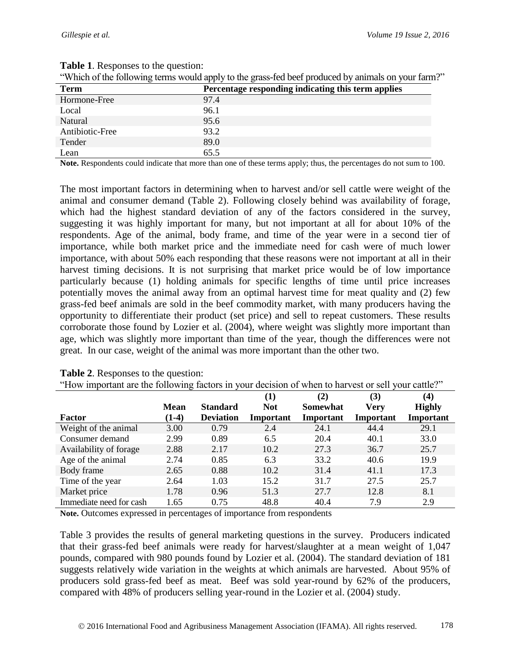|                 | which of the following terms would apply to the grass-fed beef produced by annihals on your farm. |  |  |  |
|-----------------|---------------------------------------------------------------------------------------------------|--|--|--|
| <b>Term</b>     | Percentage responding indicating this term applies                                                |  |  |  |
| Hormone-Free    | 97.4                                                                                              |  |  |  |
| Local           | 96.1                                                                                              |  |  |  |
| Natural         | 95.6                                                                                              |  |  |  |
| Antibiotic-Free | 93.2                                                                                              |  |  |  |
| Tender          | 89.0                                                                                              |  |  |  |
| Lean            | 65.5                                                                                              |  |  |  |

#### **Table 1**. Responses to the question:

"Which of the following terms would apply to the grass-fed beef produced by animals on your farm?"

**Note.** Respondents could indicate that more than one of these terms apply; thus, the percentages do not sum to 100.

The most important factors in determining when to harvest and/or sell cattle were weight of the animal and consumer demand (Table 2). Following closely behind was availability of forage, which had the highest standard deviation of any of the factors considered in the survey, suggesting it was highly important for many, but not important at all for about 10% of the respondents. Age of the animal, body frame, and time of the year were in a second tier of importance, while both market price and the immediate need for cash were of much lower importance, with about 50% each responding that these reasons were not important at all in their harvest timing decisions. It is not surprising that market price would be of low importance particularly because (1) holding animals for specific lengths of time until price increases potentially moves the animal away from an optimal harvest time for meat quality and (2) few grass-fed beef animals are sold in the beef commodity market, with many producers having the opportunity to differentiate their product (set price) and sell to repeat customers. These results corroborate those found by Lozier et al. (2004), where weight was slightly more important than age, which was slightly more important than time of the year, though the differences were not great. In our case, weight of the animal was more important than the other two.

| Trow important are the following factors in your decision of when to har vest of sent your cattle. |             |                  | (1)        | (2)       | (3)              | (4)           |
|----------------------------------------------------------------------------------------------------|-------------|------------------|------------|-----------|------------------|---------------|
|                                                                                                    | <b>Mean</b> | <b>Standard</b>  | <b>Not</b> | Somewhat  | Very             | <b>Highly</b> |
| <b>Factor</b>                                                                                      | $(1-4)$     | <b>Deviation</b> | Important  | Important | <b>Important</b> | Important     |
| Weight of the animal                                                                               | 3.00        | 0.79             | 2.4        | 24.1      | 44.4             | 29.1          |
| Consumer demand                                                                                    | 2.99        | 0.89             | 6.5        | 20.4      | 40.1             | 33.0          |
| Availability of forage                                                                             | 2.88        | 2.17             | 10.2       | 27.3      | 36.7             | 25.7          |
| Age of the animal                                                                                  | 2.74        | 0.85             | 6.3        | 33.2      | 40.6             | 19.9          |
| Body frame                                                                                         | 2.65        | 0.88             | 10.2       | 31.4      | 41.1             | 17.3          |
| Time of the year                                                                                   | 2.64        | 1.03             | 15.2       | 31.7      | 27.5             | 25.7          |
| Market price                                                                                       | 1.78        | 0.96             | 51.3       | 27.7      | 12.8             | 8.1           |
| Immediate need for cash                                                                            | 1.65        | 0.75             | 48.8       | 40.4      | 7.9              | 2.9           |

| <b>Table 2.</b> Responses to the question: |  |  |  |                                                                                                    |
|--------------------------------------------|--|--|--|----------------------------------------------------------------------------------------------------|
|                                            |  |  |  | "How important are the following factors in your decision of when to harvest or sell your cattle?" |

**Note.** Outcomes expressed in percentages of importance from respondents

Table 3 provides the results of general marketing questions in the survey. Producers indicated that their grass-fed beef animals were ready for harvest/slaughter at a mean weight of 1,047 pounds, compared with 980 pounds found by Lozier et al. (2004). The standard deviation of 181 suggests relatively wide variation in the weights at which animals are harvested. About 95% of producers sold grass-fed beef as meat. Beef was sold year-round by 62% of the producers, compared with 48% of producers selling year-round in the Lozier et al. (2004) study.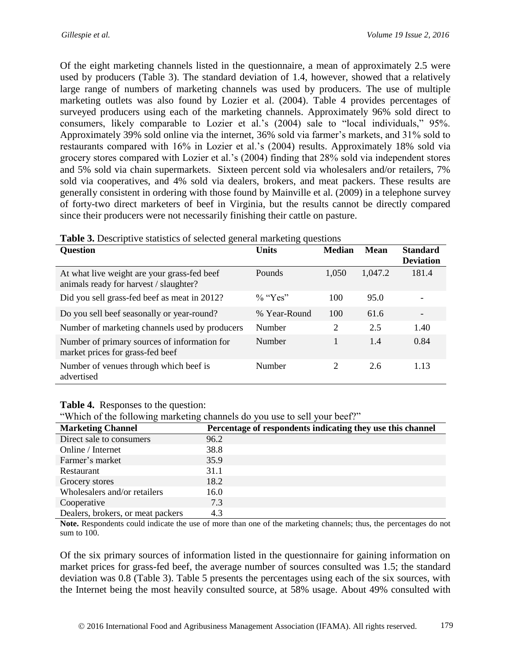Of the eight marketing channels listed in the questionnaire, a mean of approximately 2.5 were used by producers (Table 3). The standard deviation of 1.4, however, showed that a relatively large range of numbers of marketing channels was used by producers. The use of multiple marketing outlets was also found by Lozier et al. (2004). Table 4 provides percentages of surveyed producers using each of the marketing channels. Approximately 96% sold direct to consumers, likely comparable to Lozier et al.'s (2004) sale to "local individuals," 95%. Approximately 39% sold online via the internet, 36% sold via farmer's markets, and 31% sold to restaurants compared with 16% in Lozier et al.'s (2004) results. Approximately 18% sold via grocery stores compared with Lozier et al.'s (2004) finding that 28% sold via independent stores and 5% sold via chain supermarkets. Sixteen percent sold via wholesalers and/or retailers, 7% sold via cooperatives, and 4% sold via dealers, brokers, and meat packers. These results are generally consistent in ordering with those found by Mainville et al. (2009) in a telephone survey of forty-two direct marketers of beef in Virginia, but the results cannot be directly compared since their producers were not necessarily finishing their cattle on pasture.

| 5 <sup>-44</sup>                                                                      |              |               |             |                                     |
|---------------------------------------------------------------------------------------|--------------|---------------|-------------|-------------------------------------|
| <b>Question</b>                                                                       | <b>Units</b> | <b>Median</b> | <b>Mean</b> | <b>Standard</b><br><b>Deviation</b> |
| At what live weight are your grass-fed beef<br>animals ready for harvest / slaughter? | Pounds       | 1,050         | 1,047.2     | 181.4                               |
| Did you sell grass-fed beef as meat in 2012?                                          | $\%$ "Yes"   | 100           | 95.0        |                                     |
| Do you sell beef seasonally or year-round?                                            | % Year-Round | 100           | 61.6        | $\overline{\phantom{a}}$            |
| Number of marketing channels used by producers                                        | Number       | 2             | 2.5         | 1.40                                |
| Number of primary sources of information for<br>market prices for grass-fed beef      | Number       |               | 1.4         | 0.84                                |
| Number of venues through which beef is<br>advertised                                  | Number       | 2             | 2.6         | 1.13                                |

| Table 3. Descriptive statistics of selected general marketing questions |  |  |  |
|-------------------------------------------------------------------------|--|--|--|
|                                                                         |  |  |  |

#### **Table 4.** Responses to the question:

"Which of the following marketing channels do you use to sell your beef?"

| <b>Marketing Channel</b>          | Percentage of respondents indicating they use this channel |
|-----------------------------------|------------------------------------------------------------|
| Direct sale to consumers          | 96.2                                                       |
| Online / Internet                 | 38.8                                                       |
| Farmer's market                   | 35.9                                                       |
| Restaurant                        | 31.1                                                       |
| Grocery stores                    | 18.2                                                       |
| Wholesalers and/or retailers      | 16.0                                                       |
| Cooperative                       | 7.3                                                        |
| Dealers, brokers, or meat packers | 4.3                                                        |

**Note.** Respondents could indicate the use of more than one of the marketing channels; thus, the percentages do not sum to 100.

Of the six primary sources of information listed in the questionnaire for gaining information on market prices for grass-fed beef, the average number of sources consulted was 1.5; the standard deviation was 0.8 (Table 3). Table 5 presents the percentages using each of the six sources, with the Internet being the most heavily consulted source, at 58% usage. About 49% consulted with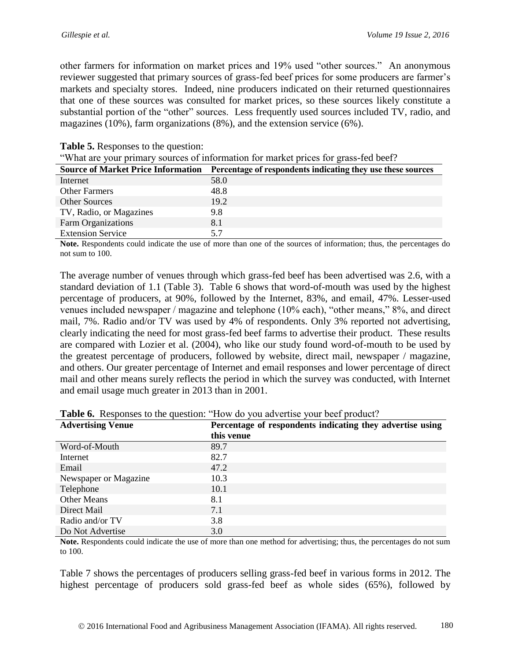other farmers for information on market prices and 19% used "other sources." An anonymous reviewer suggested that primary sources of grass-fed beef prices for some producers are farmer's markets and specialty stores. Indeed, nine producers indicated on their returned questionnaires that one of these sources was consulted for market prices, so these sources likely constitute a substantial portion of the "other" sources. Less frequently used sources included TV, radio, and magazines (10%), farm organizations (8%), and the extension service (6%).

| "What are your primary sources of information for market prices for grass-fed beef?" |                                                                                                |  |  |  |
|--------------------------------------------------------------------------------------|------------------------------------------------------------------------------------------------|--|--|--|
|                                                                                      | Source of Market Price Information Percentage of respondents indicating they use these sources |  |  |  |
| Internet                                                                             | 58.0                                                                                           |  |  |  |
| <b>Other Farmers</b>                                                                 | 48.8                                                                                           |  |  |  |
| <b>Other Sources</b>                                                                 | 19.2                                                                                           |  |  |  |
| TV, Radio, or Magazines                                                              | 9.8                                                                                            |  |  |  |
| Farm Organizations                                                                   | 8.1                                                                                            |  |  |  |
| <b>Extension Service</b>                                                             | 5.7                                                                                            |  |  |  |

#### **Table 5.** Responses to the question:

**Note.** Respondents could indicate the use of more than one of the sources of information; thus, the percentages do not sum to 100.

The average number of venues through which grass-fed beef has been advertised was 2.6, with a standard deviation of 1.1 (Table 3). Table 6 shows that word-of-mouth was used by the highest percentage of producers, at 90%, followed by the Internet, 83%, and email, 47%. Lesser-used venues included newspaper / magazine and telephone (10% each), "other means," 8%, and direct mail, 7%. Radio and/or TV was used by 4% of respondents. Only 3% reported not advertising, clearly indicating the need for most grass-fed beef farms to advertise their product. These results are compared with Lozier et al. (2004), who like our study found word-of-mouth to be used by the greatest percentage of producers, followed by website, direct mail, newspaper / magazine, and others. Our greater percentage of Internet and email responses and lower percentage of direct mail and other means surely reflects the period in which the survey was conducted, with Internet and email usage much greater in 2013 than in 2001.

| <b>Advertising Venue</b> | Percentage of respondents indicating they advertise using |
|--------------------------|-----------------------------------------------------------|
|                          | this venue                                                |
| Word-of-Mouth            | 89.7                                                      |
| Internet                 | 82.7                                                      |
| Email                    | 47.2                                                      |
| Newspaper or Magazine    | 10.3                                                      |
| Telephone                | 10.1                                                      |
| <b>Other Means</b>       | 8.1                                                       |
| Direct Mail              | 7.1                                                       |
| Radio and/or TV          | 3.8                                                       |
| Do Not Advertise         | 3.0                                                       |

**Table 6.** Responses to the question: "How do you advertise your beef product?

**Note.** Respondents could indicate the use of more than one method for advertising; thus, the percentages do not sum to 100.

Table 7 shows the percentages of producers selling grass-fed beef in various forms in 2012. The highest percentage of producers sold grass-fed beef as whole sides (65%), followed by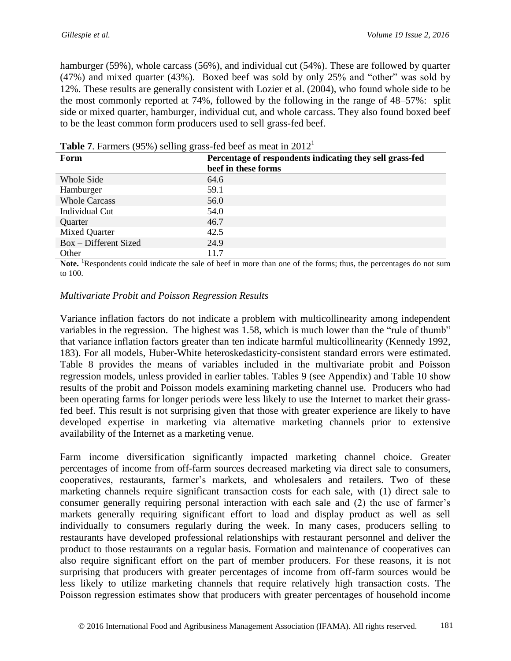hamburger (59%), whole carcass (56%), and individual cut (54%). These are followed by quarter (47%) and mixed quarter (43%). Boxed beef was sold by only 25% and "other" was sold by 12%. These results are generally consistent with Lozier et al. (2004), who found whole side to be the most commonly reported at 74%, followed by the following in the range of 48–57%: split side or mixed quarter, hamburger, individual cut, and whole carcass. They also found boxed beef to be the least common form producers used to sell grass-fed beef.

| ັັ                    |                                                          |
|-----------------------|----------------------------------------------------------|
| Form                  | Percentage of respondents indicating they sell grass-fed |
|                       | beef in these forms                                      |
| Whole Side            | 64.6                                                     |
| Hamburger             | 59.1                                                     |
| <b>Whole Carcass</b>  | 56.0                                                     |
| Individual Cut        | 54.0                                                     |
| Quarter               | 46.7                                                     |
| Mixed Quarter         | 42.5                                                     |
| Box - Different Sized | 24.9                                                     |
| Other                 | 11.7                                                     |

**Table 7**. Farmers (95%) selling grass-fed beef as meat in 2012<sup>1</sup>

**Note.** <sup>1</sup>Respondents could indicate the sale of beef in more than one of the forms; thus, the percentages do not sum to 100.

### *Multivariate Probit and Poisson Regression Results*

Variance inflation factors do not indicate a problem with multicollinearity among independent variables in the regression. The highest was 1.58, which is much lower than the "rule of thumb" that variance inflation factors greater than ten indicate harmful multicollinearity (Kennedy 1992, 183). For all models, Huber-White heteroskedasticity-consistent standard errors were estimated. Table 8 provides the means of variables included in the multivariate probit and Poisson regression models, unless provided in earlier tables. Tables 9 (see Appendix) and Table 10 show results of the probit and Poisson models examining marketing channel use. Producers who had been operating farms for longer periods were less likely to use the Internet to market their grassfed beef. This result is not surprising given that those with greater experience are likely to have developed expertise in marketing via alternative marketing channels prior to extensive availability of the Internet as a marketing venue.

Farm income diversification significantly impacted marketing channel choice. Greater percentages of income from off-farm sources decreased marketing via direct sale to consumers, cooperatives, restaurants, farmer's markets, and wholesalers and retailers. Two of these marketing channels require significant transaction costs for each sale, with (1) direct sale to consumer generally requiring personal interaction with each sale and (2) the use of farmer's markets generally requiring significant effort to load and display product as well as sell individually to consumers regularly during the week. In many cases, producers selling to restaurants have developed professional relationships with restaurant personnel and deliver the product to those restaurants on a regular basis. Formation and maintenance of cooperatives can also require significant effort on the part of member producers. For these reasons, it is not surprising that producers with greater percentages of income from off-farm sources would be less likely to utilize marketing channels that require relatively high transaction costs. The Poisson regression estimates show that producers with greater percentages of household income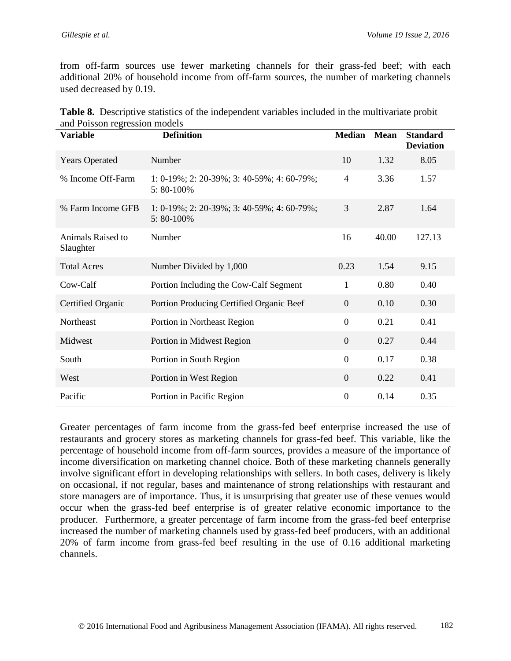from off-farm sources use fewer marketing channels for their grass-fed beef; with each additional 20% of household income from off-farm sources, the number of marketing channels used decreased by 0.19.

| <b>Variable</b>                | <b>Definition</b>                                              | <b>Median</b>    | <b>Mean</b> | <b>Standard</b><br><b>Deviation</b> |
|--------------------------------|----------------------------------------------------------------|------------------|-------------|-------------------------------------|
| <b>Years Operated</b>          | Number                                                         | 10               | 1.32        | 8.05                                |
| % Income Off-Farm              | 1: $0-19\%$ ; 2: 20-39%; 3: 40-59%; 4: 60-79%;<br>$5:80-100\%$ | $\overline{4}$   | 3.36        | 1.57                                |
| % Farm Income GFB              | 1: $0-19\%$ ; 2: 20-39%; 3: 40-59%; 4: 60-79%;<br>$5:80-100\%$ | 3                | 2.87        | 1.64                                |
| Animals Raised to<br>Slaughter | Number                                                         | 16               | 40.00       | 127.13                              |
| <b>Total Acres</b>             | Number Divided by 1,000                                        | 0.23             | 1.54        | 9.15                                |
| Cow-Calf                       | Portion Including the Cow-Calf Segment                         | $\mathbf{1}$     | 0.80        | 0.40                                |
| Certified Organic              | Portion Producing Certified Organic Beef                       | $\overline{0}$   | 0.10        | 0.30                                |
| Northeast                      | Portion in Northeast Region                                    | $\boldsymbol{0}$ | 0.21        | 0.41                                |
| Midwest                        | Portion in Midwest Region                                      | $\mathbf{0}$     | 0.27        | 0.44                                |
| South                          | Portion in South Region                                        | $\boldsymbol{0}$ | 0.17        | 0.38                                |
| West                           | Portion in West Region                                         | $\overline{0}$   | 0.22        | 0.41                                |
| Pacific                        | Portion in Pacific Region                                      | $\overline{0}$   | 0.14        | 0.35                                |

| <b>Table 8.</b> Descriptive statistics of the independent variables included in the multivariate probit |  |  |  |
|---------------------------------------------------------------------------------------------------------|--|--|--|
| and Poisson regression models                                                                           |  |  |  |

Greater percentages of farm income from the grass-fed beef enterprise increased the use of restaurants and grocery stores as marketing channels for grass-fed beef. This variable, like the percentage of household income from off-farm sources, provides a measure of the importance of income diversification on marketing channel choice. Both of these marketing channels generally involve significant effort in developing relationships with sellers. In both cases, delivery is likely on occasional, if not regular, bases and maintenance of strong relationships with restaurant and store managers are of importance. Thus, it is unsurprising that greater use of these venues would occur when the grass-fed beef enterprise is of greater relative economic importance to the producer. Furthermore, a greater percentage of farm income from the grass-fed beef enterprise increased the number of marketing channels used by grass-fed beef producers, with an additional 20% of farm income from grass-fed beef resulting in the use of 0.16 additional marketing channels.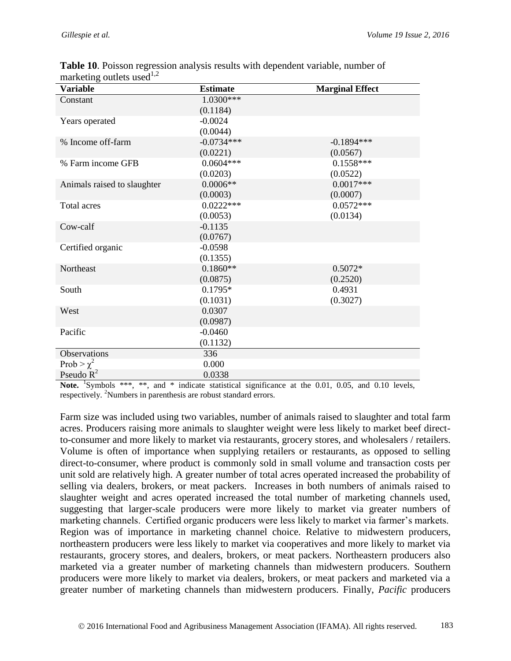| <b>Variable</b>             | <b>Estimate</b> | <b>Marginal Effect</b> |
|-----------------------------|-----------------|------------------------|
| Constant                    | 1.0300***       |                        |
|                             | (0.1184)        |                        |
| Years operated              | $-0.0024$       |                        |
|                             | (0.0044)        |                        |
| % Income off-farm           | $-0.0734***$    | $-0.1894***$           |
|                             | (0.0221)        | (0.0567)               |
| % Farm income GFB           | $0.0604***$     | $0.1558***$            |
|                             | (0.0203)        | (0.0522)               |
| Animals raised to slaughter | $0.0006**$      | $0.0017***$            |
|                             | (0.0003)        | (0.0007)               |
| Total acres                 | $0.0222***$     | $0.0572***$            |
|                             | (0.0053)        | (0.0134)               |
| Cow-calf                    | $-0.1135$       |                        |
|                             | (0.0767)        |                        |
| Certified organic           | $-0.0598$       |                        |
|                             | (0.1355)        |                        |
| Northeast                   | $0.1860**$      | $0.5072*$              |
|                             | (0.0875)        | (0.2520)               |
| South                       | $0.1795*$       | 0.4931                 |
|                             | (0.1031)        | (0.3027)               |
| West                        | 0.0307          |                        |
|                             | (0.0987)        |                        |
| Pacific                     | $-0.0460$       |                        |
|                             | (0.1132)        |                        |
| Observations                | 336             |                        |
| Prob > $\chi^2$             | 0.000           |                        |
| Pseudo $R^2$                | 0.0338          |                        |

**Table 10**. Poisson regression analysis results with dependent variable, number of marketing outlets used $^{1,2}$ 

Note. <sup>1</sup>Symbols \*\*\*, \*\*, and \* indicate statistical significance at the 0.01, 0.05, and 0.10 levels, respectively. <sup>2</sup>Numbers in parenthesis are robust standard errors.

Farm size was included using two variables, number of animals raised to slaughter and total farm acres. Producers raising more animals to slaughter weight were less likely to market beef directto-consumer and more likely to market via restaurants, grocery stores, and wholesalers / retailers. Volume is often of importance when supplying retailers or restaurants, as opposed to selling direct-to-consumer, where product is commonly sold in small volume and transaction costs per unit sold are relatively high. A greater number of total acres operated increased the probability of selling via dealers, brokers, or meat packers. Increases in both numbers of animals raised to slaughter weight and acres operated increased the total number of marketing channels used, suggesting that larger-scale producers were more likely to market via greater numbers of marketing channels. Certified organic producers were less likely to market via farmer's markets. Region was of importance in marketing channel choice. Relative to midwestern producers, northeastern producers were less likely to market via cooperatives and more likely to market via restaurants, grocery stores, and dealers, brokers, or meat packers. Northeastern producers also marketed via a greater number of marketing channels than midwestern producers. Southern producers were more likely to market via dealers, brokers, or meat packers and marketed via a greater number of marketing channels than midwestern producers. Finally, *Pacific* producers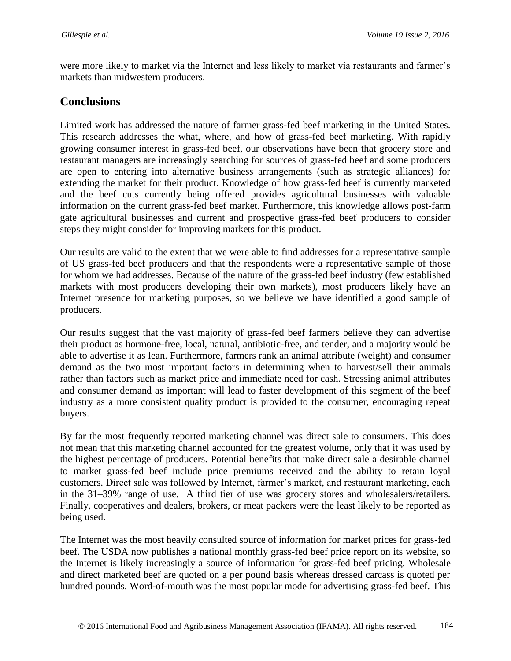were more likely to market via the Internet and less likely to market via restaurants and farmer's markets than midwestern producers.

### **Conclusions**

Limited work has addressed the nature of farmer grass-fed beef marketing in the United States. This research addresses the what, where, and how of grass-fed beef marketing. With rapidly growing consumer interest in grass-fed beef, our observations have been that grocery store and restaurant managers are increasingly searching for sources of grass-fed beef and some producers are open to entering into alternative business arrangements (such as strategic alliances) for extending the market for their product. Knowledge of how grass-fed beef is currently marketed and the beef cuts currently being offered provides agricultural businesses with valuable information on the current grass-fed beef market. Furthermore, this knowledge allows post-farm gate agricultural businesses and current and prospective grass-fed beef producers to consider steps they might consider for improving markets for this product.

Our results are valid to the extent that we were able to find addresses for a representative sample of US grass-fed beef producers and that the respondents were a representative sample of those for whom we had addresses. Because of the nature of the grass-fed beef industry (few established markets with most producers developing their own markets), most producers likely have an Internet presence for marketing purposes, so we believe we have identified a good sample of producers.

Our results suggest that the vast majority of grass-fed beef farmers believe they can advertise their product as hormone-free, local, natural, antibiotic-free, and tender, and a majority would be able to advertise it as lean. Furthermore, farmers rank an animal attribute (weight) and consumer demand as the two most important factors in determining when to harvest/sell their animals rather than factors such as market price and immediate need for cash. Stressing animal attributes and consumer demand as important will lead to faster development of this segment of the beef industry as a more consistent quality product is provided to the consumer, encouraging repeat buyers.

By far the most frequently reported marketing channel was direct sale to consumers. This does not mean that this marketing channel accounted for the greatest volume, only that it was used by the highest percentage of producers. Potential benefits that make direct sale a desirable channel to market grass-fed beef include price premiums received and the ability to retain loyal customers. Direct sale was followed by Internet, farmer's market, and restaurant marketing, each in the 31–39% range of use. A third tier of use was grocery stores and wholesalers/retailers. Finally, cooperatives and dealers, brokers, or meat packers were the least likely to be reported as being used.

The Internet was the most heavily consulted source of information for market prices for grass-fed beef. The USDA now publishes a national monthly grass-fed beef price report on its website, so the Internet is likely increasingly a source of information for grass-fed beef pricing. Wholesale and direct marketed beef are quoted on a per pound basis whereas dressed carcass is quoted per hundred pounds. Word-of-mouth was the most popular mode for advertising grass-fed beef. This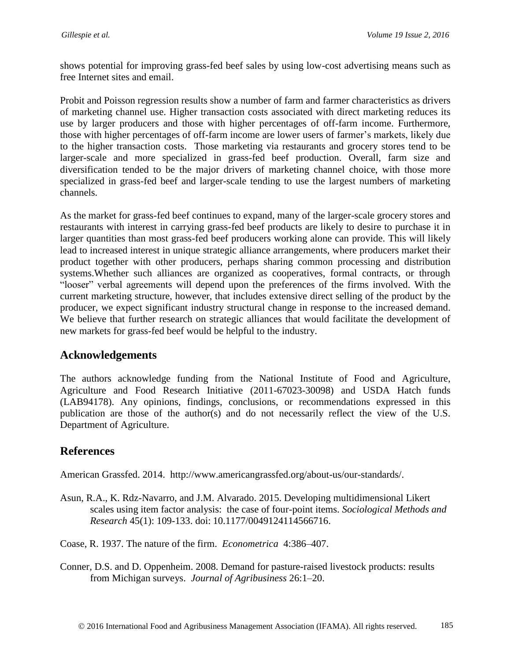shows potential for improving grass-fed beef sales by using low-cost advertising means such as free Internet sites and email.

Probit and Poisson regression results show a number of farm and farmer characteristics as drivers of marketing channel use. Higher transaction costs associated with direct marketing reduces its use by larger producers and those with higher percentages of off-farm income. Furthermore, those with higher percentages of off-farm income are lower users of farmer's markets, likely due to the higher transaction costs. Those marketing via restaurants and grocery stores tend to be larger-scale and more specialized in grass-fed beef production. Overall, farm size and diversification tended to be the major drivers of marketing channel choice, with those more specialized in grass-fed beef and larger-scale tending to use the largest numbers of marketing channels.

As the market for grass-fed beef continues to expand, many of the larger-scale grocery stores and restaurants with interest in carrying grass-fed beef products are likely to desire to purchase it in larger quantities than most grass-fed beef producers working alone can provide. This will likely lead to increased interest in unique strategic alliance arrangements, where producers market their product together with other producers, perhaps sharing common processing and distribution systems.Whether such alliances are organized as cooperatives, formal contracts, or through "looser" verbal agreements will depend upon the preferences of the firms involved. With the current marketing structure, however, that includes extensive direct selling of the product by the producer, we expect significant industry structural change in response to the increased demand. We believe that further research on strategic alliances that would facilitate the development of new markets for grass-fed beef would be helpful to the industry.

## **Acknowledgements**

The authors acknowledge funding from the National Institute of Food and Agriculture, Agriculture and Food Research Initiative (2011-67023-30098) and USDA Hatch funds (LAB94178). Any opinions, findings, conclusions, or recommendations expressed in this publication are those of the author(s) and do not necessarily reflect the view of the U.S. Department of Agriculture.

## **References**

American Grassfed. 2014. http://www.americangrassfed.org/about-us/our-standards/.

Asun, R.A., K. Rdz-Navarro, and J.M. Alvarado. 2015. Developing multidimensional Likert scales using item factor analysis: the case of four-point items. *Sociological Methods and Research* 45(1): 109-133. doi: 10.1177/0049124114566716.

Coase, R. 1937. The nature of the firm. *Econometrica* 4:386–407.

Conner, D.S. and D. Oppenheim. 2008. Demand for pasture-raised livestock products: results from Michigan surveys. *Journal of Agribusiness* 26:1–20.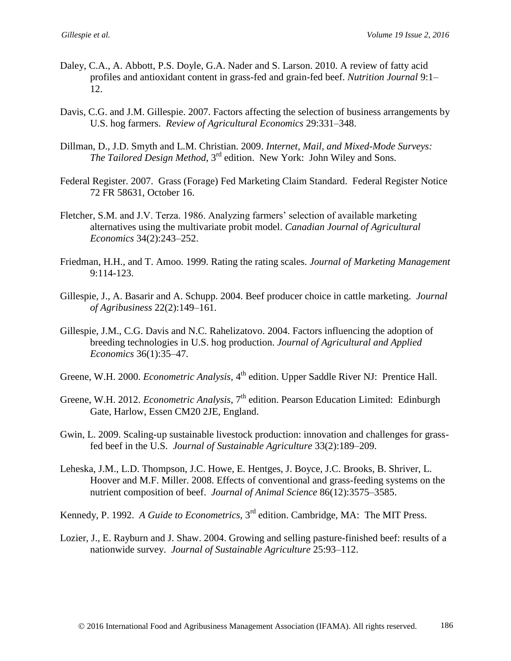- Daley, C.A., A. Abbott, P.S. Doyle, G.A. Nader and S. Larson. 2010. A review of fatty acid profiles and antioxidant content in grass-fed and grain-fed beef. *Nutrition Journal* 9:1– 12.
- Davis, C.G. and J.M. Gillespie. 2007. Factors affecting the selection of business arrangements by U.S. hog farmers. *Review of Agricultural Economics* 29:331–348.
- Dillman, D., J.D. Smyth and L.M. Christian. 2009. *Internet, Mail, and Mixed-Mode Surveys: The Tailored Design Method*, 3rd edition. New York: John Wiley and Sons.
- Federal Register. 2007. Grass (Forage) Fed Marketing Claim Standard. Federal Register Notice 72 FR 58631, October 16.
- Fletcher, S.M. and J.V. Terza. 1986. Analyzing farmers' selection of available marketing alternatives using the multivariate probit model. *Canadian Journal of Agricultural Economics* 34(2):243–252.
- Friedman, H.H., and T. Amoo. 1999. Rating the rating scales. *Journal of Marketing Management* 9:114-123.
- Gillespie, J., A. Basarir and A. Schupp. 2004. Beef producer choice in cattle marketing. *Journal of Agribusiness* 22(2):149–161.
- Gillespie, J.M., C.G. Davis and N.C. Rahelizatovo. 2004. Factors influencing the adoption of breeding technologies in U.S. hog production. *Journal of Agricultural and Applied Economics* 36(1):35–47.
- Greene, W.H. 2000. *Econometric Analysis*, 4<sup>th</sup> edition. Upper Saddle River NJ: Prentice Hall.
- Greene, W.H. 2012. *Econometric Analysis*, 7<sup>th</sup> edition. Pearson Education Limited: Edinburgh Gate, Harlow, Essen CM20 2JE, England.
- Gwin, L. 2009. Scaling-up sustainable livestock production: innovation and challenges for grassfed beef in the U.S. *Journal of Sustainable Agriculture* 33(2):189–209.
- Leheska, J.M., L.D. Thompson, J.C. Howe, E. Hentges, J. Boyce, J.C. Brooks, B. Shriver, L. Hoover and M.F. Miller. 2008. Effects of conventional and grass-feeding systems on the nutrient composition of beef. *Journal of Animal Science* 86(12):3575–3585.
- Kennedy, P. 1992. *A Guide to Econometrics*, 3<sup>rd</sup> edition. Cambridge, MA: The MIT Press.
- Lozier, J., E. Rayburn and J. Shaw. 2004. Growing and selling pasture-finished beef: results of a nationwide survey. *Journal of Sustainable Agriculture* 25:93–112.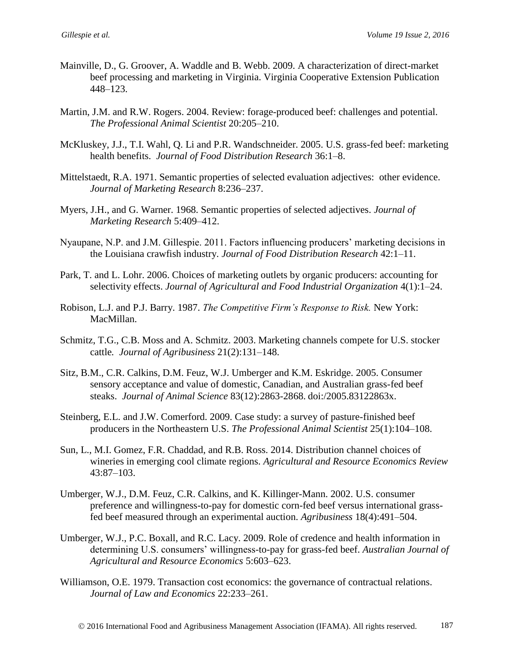- Mainville, D., G. Groover, A. Waddle and B. Webb. 2009. A characterization of direct-market beef processing and marketing in Virginia. Virginia Cooperative Extension Publication 448–123.
- Martin, J.M. and R.W. Rogers. 2004. Review: forage-produced beef: challenges and potential. *The Professional Animal Scientist* 20:205–210.
- McKluskey, J.J., T.I. Wahl, Q. Li and P.R. Wandschneider. 2005. U.S. grass-fed beef: marketing health benefits. *Journal of Food Distribution Research* 36:1–8.
- Mittelstaedt, R.A. 1971. Semantic properties of selected evaluation adjectives: other evidence. *Journal of Marketing Research* 8:236–237.
- Myers, J.H., and G. Warner. 1968. Semantic properties of selected adjectives. *Journal of Marketing Research* 5:409–412.
- Nyaupane, N.P. and J.M. Gillespie. 2011. Factors influencing producers' marketing decisions in the Louisiana crawfish industry. *Journal of Food Distribution Research* 42:1–11.
- Park, T. and L. Lohr. 2006. Choices of marketing outlets by organic producers: accounting for selectivity effects. *Journal of Agricultural and Food Industrial Organization* 4(1):1–24.
- Robison, L.J. and P.J. Barry. 1987. *The Competitive Firm's Response to Risk.* New York: MacMillan.
- Schmitz, T.G., C.B. Moss and A. Schmitz. 2003. Marketing channels compete for U.S. stocker cattle*. Journal of Agribusiness* 21(2):131–148.
- Sitz, B.M., C.R. Calkins, D.M. Feuz, W.J. Umberger and K.M. Eskridge. 2005. Consumer sensory acceptance and value of domestic, Canadian, and Australian grass-fed beef steaks. *Journal of Animal Science* 83(12):2863-2868. doi:/2005.83122863x.
- Steinberg, E.L. and J.W. Comerford. 2009. Case study: a survey of pasture-finished beef producers in the Northeastern U.S. *The Professional Animal Scientist* 25(1):104–108.
- Sun, L., M.I. Gomez, F.R. Chaddad, and R.B. Ross. 2014. Distribution channel choices of wineries in emerging cool climate regions. *Agricultural and Resource Economics Review*  43:87–103.
- Umberger, W.J., D.M. Feuz, C.R. Calkins, and K. Killinger-Mann. 2002. U.S. consumer preference and willingness-to-pay for domestic corn-fed beef versus international grassfed beef measured through an experimental auction. *Agribusiness* 18(4):491–504.
- Umberger, W.J., P.C. Boxall, and R.C. Lacy. 2009. Role of credence and health information in determining U.S. consumers' willingness-to-pay for grass-fed beef. *Australian Journal of Agricultural and Resource Economics* 5:603–623.
- Williamson, O.E. 1979. Transaction cost economics: the governance of contractual relations. *Journal of Law and Economics* 22:233–261.